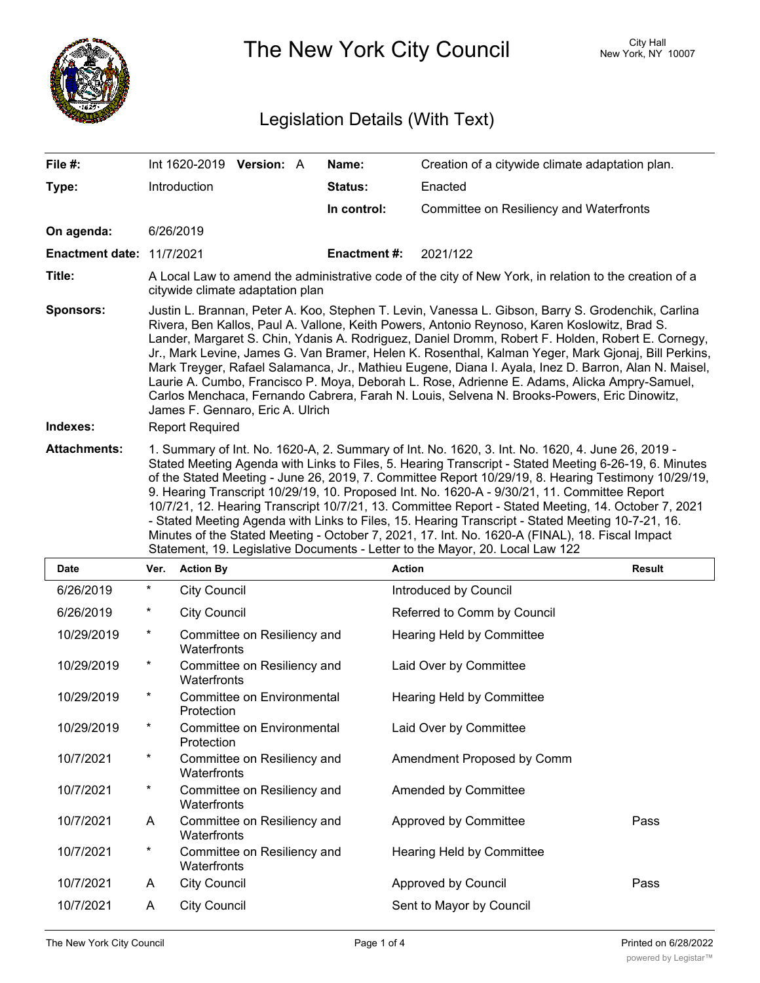

The New York City Council New York, NY 10007

## Legislation Details (With Text)

| File #:                          |                                                                                                                                                                                                                                                                                                                                                                                                                                                                                                                                                                                                                                                                                                                                                                                                                  |                     | Int 1620-2019 Version: A    |  | Name:               | Creation of a citywide climate adaptation plan. |               |
|----------------------------------|------------------------------------------------------------------------------------------------------------------------------------------------------------------------------------------------------------------------------------------------------------------------------------------------------------------------------------------------------------------------------------------------------------------------------------------------------------------------------------------------------------------------------------------------------------------------------------------------------------------------------------------------------------------------------------------------------------------------------------------------------------------------------------------------------------------|---------------------|-----------------------------|--|---------------------|-------------------------------------------------|---------------|
| Type:                            |                                                                                                                                                                                                                                                                                                                                                                                                                                                                                                                                                                                                                                                                                                                                                                                                                  | Introduction        |                             |  | Status:             | Enacted                                         |               |
|                                  |                                                                                                                                                                                                                                                                                                                                                                                                                                                                                                                                                                                                                                                                                                                                                                                                                  |                     |                             |  | In control:         | Committee on Resiliency and Waterfronts         |               |
| On agenda:                       |                                                                                                                                                                                                                                                                                                                                                                                                                                                                                                                                                                                                                                                                                                                                                                                                                  | 6/26/2019           |                             |  |                     |                                                 |               |
| <b>Enactment date: 11/7/2021</b> |                                                                                                                                                                                                                                                                                                                                                                                                                                                                                                                                                                                                                                                                                                                                                                                                                  |                     |                             |  | <b>Enactment #:</b> | 2021/122                                        |               |
| Title:                           | A Local Law to amend the administrative code of the city of New York, in relation to the creation of a<br>citywide climate adaptation plan                                                                                                                                                                                                                                                                                                                                                                                                                                                                                                                                                                                                                                                                       |                     |                             |  |                     |                                                 |               |
| <b>Sponsors:</b><br>Indexes:     | Justin L. Brannan, Peter A. Koo, Stephen T. Levin, Vanessa L. Gibson, Barry S. Grodenchik, Carlina<br>Rivera, Ben Kallos, Paul A. Vallone, Keith Powers, Antonio Reynoso, Karen Koslowitz, Brad S.<br>Lander, Margaret S. Chin, Ydanis A. Rodriguez, Daniel Dromm, Robert F. Holden, Robert E. Cornegy,<br>Jr., Mark Levine, James G. Van Bramer, Helen K. Rosenthal, Kalman Yeger, Mark Gjonaj, Bill Perkins,<br>Mark Treyger, Rafael Salamanca, Jr., Mathieu Eugene, Diana I. Ayala, Inez D. Barron, Alan N. Maisel,<br>Laurie A. Cumbo, Francisco P. Moya, Deborah L. Rose, Adrienne E. Adams, Alicka Ampry-Samuel,<br>Carlos Menchaca, Fernando Cabrera, Farah N. Louis, Selvena N. Brooks-Powers, Eric Dinowitz,<br>James F. Gennaro, Eric A. Ulrich<br><b>Report Required</b>                              |                     |                             |  |                     |                                                 |               |
| <b>Attachments:</b>              | 1. Summary of Int. No. 1620-A, 2. Summary of Int. No. 1620, 3. Int. No. 1620, 4. June 26, 2019 -<br>Stated Meeting Agenda with Links to Files, 5. Hearing Transcript - Stated Meeting 6-26-19, 6. Minutes<br>of the Stated Meeting - June 26, 2019, 7. Committee Report 10/29/19, 8. Hearing Testimony 10/29/19,<br>9. Hearing Transcript 10/29/19, 10. Proposed Int. No. 1620-A - 9/30/21, 11. Committee Report<br>10/7/21, 12. Hearing Transcript 10/7/21, 13. Committee Report - Stated Meeting, 14. October 7, 2021<br>- Stated Meeting Agenda with Links to Files, 15. Hearing Transcript - Stated Meeting 10-7-21, 16.<br>Minutes of the Stated Meeting - October 7, 2021, 17. Int. No. 1620-A (FINAL), 18. Fiscal Impact<br>Statement, 19. Legislative Documents - Letter to the Mayor, 20. Local Law 122 |                     |                             |  |                     |                                                 |               |
| Date                             | Ver.                                                                                                                                                                                                                                                                                                                                                                                                                                                                                                                                                                                                                                                                                                                                                                                                             | <b>Action By</b>    |                             |  |                     | <b>Action</b>                                   | <b>Result</b> |
| 6/26/2019                        | $\star$                                                                                                                                                                                                                                                                                                                                                                                                                                                                                                                                                                                                                                                                                                                                                                                                          | <b>City Council</b> |                             |  |                     | Introduced by Council                           |               |
| 6/26/2019                        | $\ast$                                                                                                                                                                                                                                                                                                                                                                                                                                                                                                                                                                                                                                                                                                                                                                                                           | <b>City Council</b> |                             |  |                     | Referred to Comm by Council                     |               |
| 10/29/2019                       | *                                                                                                                                                                                                                                                                                                                                                                                                                                                                                                                                                                                                                                                                                                                                                                                                                | Waterfronts         | Committee on Resiliency and |  |                     | <b>Hearing Held by Committee</b>                |               |
| 10/29/2019                       | *                                                                                                                                                                                                                                                                                                                                                                                                                                                                                                                                                                                                                                                                                                                                                                                                                | Waterfronts         | Committee on Resiliency and |  |                     | Laid Over by Committee                          |               |
| 10/29/2019                       | *                                                                                                                                                                                                                                                                                                                                                                                                                                                                                                                                                                                                                                                                                                                                                                                                                | Protection          | Committee on Environmental  |  |                     | <b>Hearing Held by Committee</b>                |               |
| 10/29/2019                       | *                                                                                                                                                                                                                                                                                                                                                                                                                                                                                                                                                                                                                                                                                                                                                                                                                | Protection          | Committee on Environmental  |  |                     | Laid Over by Committee                          |               |
| 10/7/2021                        | *                                                                                                                                                                                                                                                                                                                                                                                                                                                                                                                                                                                                                                                                                                                                                                                                                | Waterfronts         | Committee on Resiliency and |  |                     | Amendment Proposed by Comm                      |               |
| 10/7/2021                        | $^\star$                                                                                                                                                                                                                                                                                                                                                                                                                                                                                                                                                                                                                                                                                                                                                                                                         | Waterfronts         | Committee on Resiliency and |  |                     | Amended by Committee                            |               |
| 10/7/2021                        | A                                                                                                                                                                                                                                                                                                                                                                                                                                                                                                                                                                                                                                                                                                                                                                                                                | Waterfronts         | Committee on Resiliency and |  |                     | Approved by Committee                           | Pass          |
| 10/7/2021                        | *                                                                                                                                                                                                                                                                                                                                                                                                                                                                                                                                                                                                                                                                                                                                                                                                                | Waterfronts         | Committee on Resiliency and |  |                     | Hearing Held by Committee                       |               |
| 10/7/2021                        | A                                                                                                                                                                                                                                                                                                                                                                                                                                                                                                                                                                                                                                                                                                                                                                                                                | <b>City Council</b> |                             |  |                     | Approved by Council                             | Pass          |

10/7/2021 A City Council Sent to Mayor by Council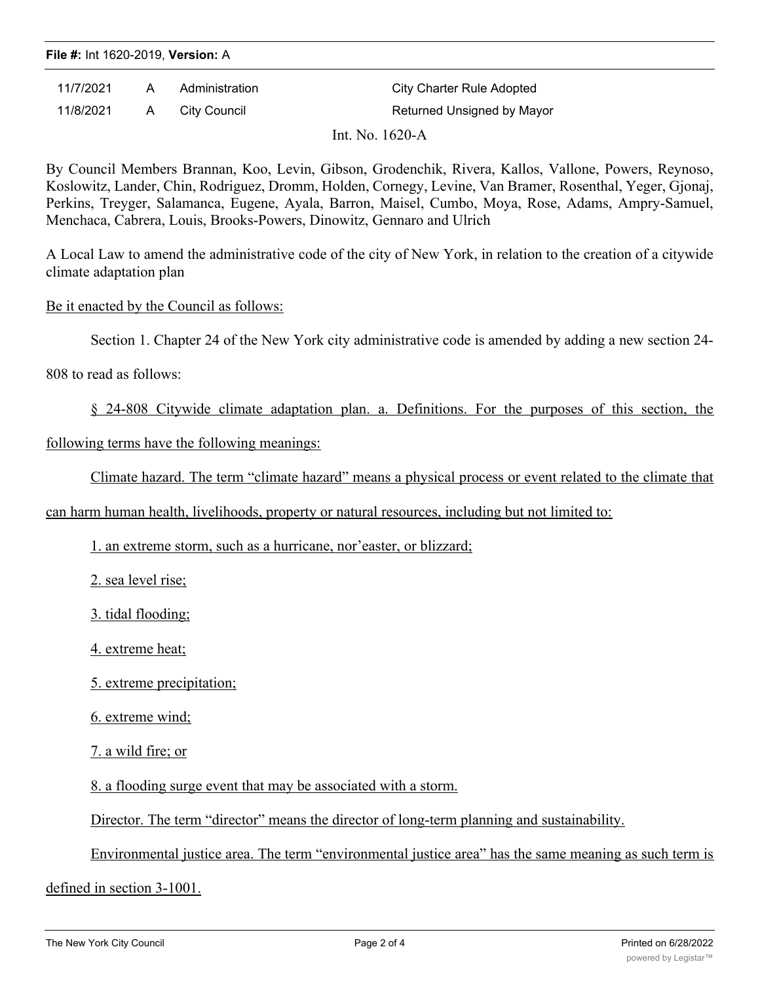## **File #:** Int 1620-2019, **Version:** A

| 11/7/2021 | A        | Administration | City Charter Rule Adopted  |
|-----------|----------|----------------|----------------------------|
| 11/8/2021 | <b>A</b> | City Council   | Returned Unsigned by Mayor |
|           |          |                | Int. No. 1620-A            |

By Council Members Brannan, Koo, Levin, Gibson, Grodenchik, Rivera, Kallos, Vallone, Powers, Reynoso, Koslowitz, Lander, Chin, Rodriguez, Dromm, Holden, Cornegy, Levine, Van Bramer, Rosenthal, Yeger, Gjonaj, Perkins, Treyger, Salamanca, Eugene, Ayala, Barron, Maisel, Cumbo, Moya, Rose, Adams, Ampry-Samuel, Menchaca, Cabrera, Louis, Brooks-Powers, Dinowitz, Gennaro and Ulrich

A Local Law to amend the administrative code of the city of New York, in relation to the creation of a citywide climate adaptation plan

Be it enacted by the Council as follows:

Section 1. Chapter 24 of the New York city administrative code is amended by adding a new section 24-

808 to read as follows:

§ 24-808 Citywide climate adaptation plan. a. Definitions. For the purposes of this section, the

following terms have the following meanings:

Climate hazard. The term "climate hazard" means a physical process or event related to the climate that

can harm human health, livelihoods, property or natural resources, including but not limited to:

1. an extreme storm, such as a hurricane, nor'easter, or blizzard;

2. sea level rise;

3. tidal flooding;

4. extreme heat;

5. extreme precipitation;

6. extreme wind;

7. a wild fire; or

8. a flooding surge event that may be associated with a storm.

Director. The term "director" means the director of long-term planning and sustainability.

Environmental justice area. The term "environmental justice area" has the same meaning as such term is

defined in section 3-1001.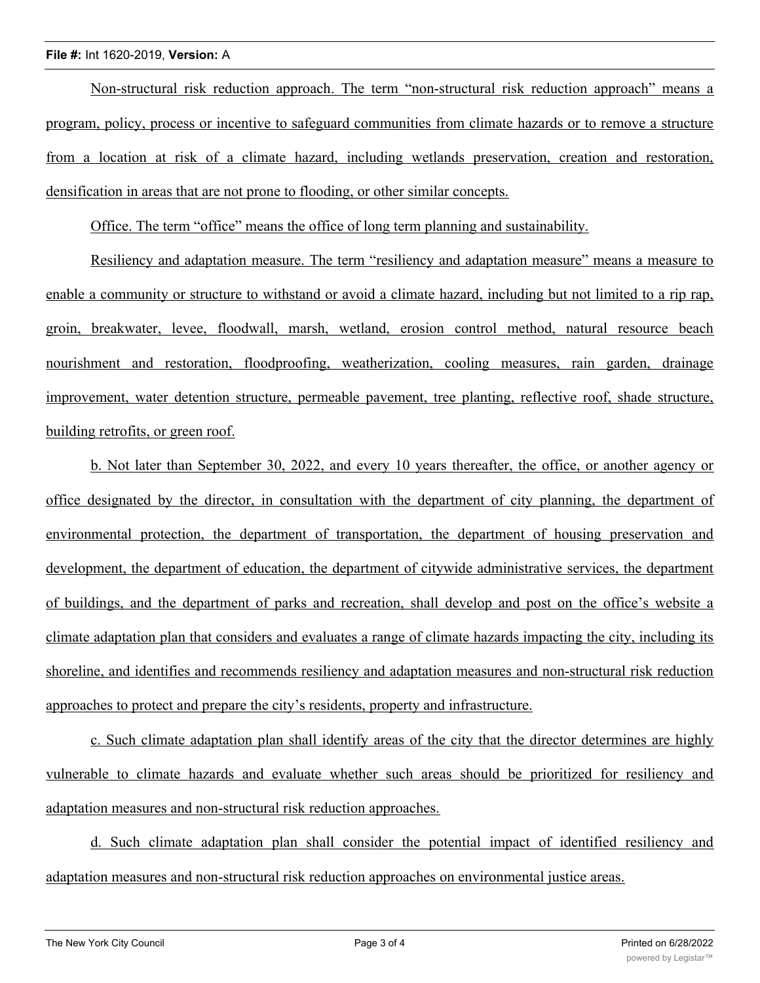## **File #:** Int 1620-2019, **Version:** A

Non-structural risk reduction approach. The term "non-structural risk reduction approach" means a program, policy, process or incentive to safeguard communities from climate hazards or to remove a structure from a location at risk of a climate hazard, including wetlands preservation, creation and restoration, densification in areas that are not prone to flooding, or other similar concepts.

Office. The term "office" means the office of long term planning and sustainability.

Resiliency and adaptation measure. The term "resiliency and adaptation measure" means a measure to enable a community or structure to withstand or avoid a climate hazard, including but not limited to a rip rap, groin, breakwater, levee, floodwall, marsh, wetland, erosion control method, natural resource beach nourishment and restoration, floodproofing, weatherization, cooling measures, rain garden, drainage improvement, water detention structure, permeable pavement, tree planting, reflective roof, shade structure, building retrofits, or green roof.

b. Not later than September 30, 2022, and every 10 years thereafter, the office, or another agency or office designated by the director, in consultation with the department of city planning, the department of environmental protection, the department of transportation, the department of housing preservation and development, the department of education, the department of citywide administrative services, the department of buildings, and the department of parks and recreation, shall develop and post on the office's website a climate adaptation plan that considers and evaluates a range of climate hazards impacting the city, including its shoreline, and identifies and recommends resiliency and adaptation measures and non-structural risk reduction approaches to protect and prepare the city's residents, property and infrastructure.

c. Such climate adaptation plan shall identify areas of the city that the director determines are highly vulnerable to climate hazards and evaluate whether such areas should be prioritized for resiliency and adaptation measures and non-structural risk reduction approaches.

d. Such climate adaptation plan shall consider the potential impact of identified resiliency and adaptation measures and non-structural risk reduction approaches on environmental justice areas.